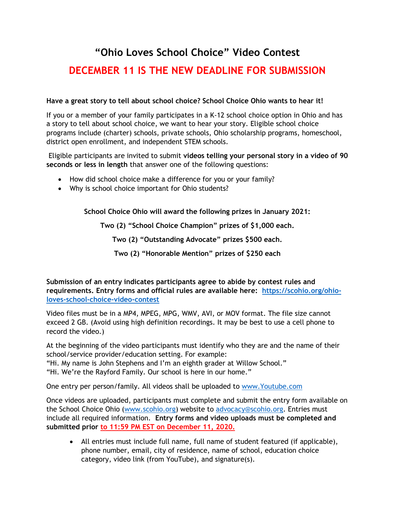## **"Ohio Loves School Choice" Video Contest DECEMBER 11 IS THE NEW DEADLINE FOR SUBMISSION**

## **Have a great story to tell about school choice? School Choice Ohio wants to hear it!**

If you or a member of your family participates in a K-12 school choice option in Ohio and has a story to tell about school choice, we want to hear your story. Eligible school choice programs include (charter) schools, private schools, Ohio scholarship programs, homeschool, district open enrollment, and independent STEM schools.

Eligible participants are invited to submit **videos telling your personal story in a video of 90 seconds or less in length** that answer one of the following questions:

- How did school choice make a difference for you or your family?
- Why is school choice important for Ohio students?

**School Choice Ohio will award the following prizes in January 2021:**

**Two (2) "School Choice Champion" prizes of \$1,000 each.**

**Two (2) "Outstanding Advocate" prizes \$500 each.**

**Two (2) "Honorable Mention" prizes of \$250 each**

**Submission of an entry indicates participants agree to abide by contest rules and requirements. Entry forms and official rules are available here: [https://scohio.org/ohio](https://scohio.org/ohio-loves-school-choice-video-contest)[loves-school-choice-video-contest](https://scohio.org/ohio-loves-school-choice-video-contest)**

Video files must be in a MP4, MPEG, MPG, WMV, AVI, or MOV format. The file size cannot exceed 2 GB. (Avoid using high definition recordings. It may be best to use a cell phone to record the video.)

At the beginning of the video participants must identify who they are and the name of their school/service provider/education setting. For example:

"Hi. My name is John Stephens and I'm an eighth grader at Willow School."

"Hi. We're the Rayford Family. Our school is here in our home."

One entry per person/family. All videos shall be uploaded to [www.Youtube.com](http://www.youtube.com/)

Once videos are uploaded, participants must complete and submit the entry form available on the School Choice Ohio [\(www.scohio.org\)](http://www.scohio.org/) website to [advocacy@scohio.org.](mailto:advocacy@scohio.org) Entries must include all required information. **Entry forms and video uploads must be completed and submitted prior to 11:59 PM EST on December 11, 2020.** 

• All entries must include full name, full name of student featured (if applicable), phone number, email, city of residence, name of school, education choice category, video link (from YouTube), and signature(s).